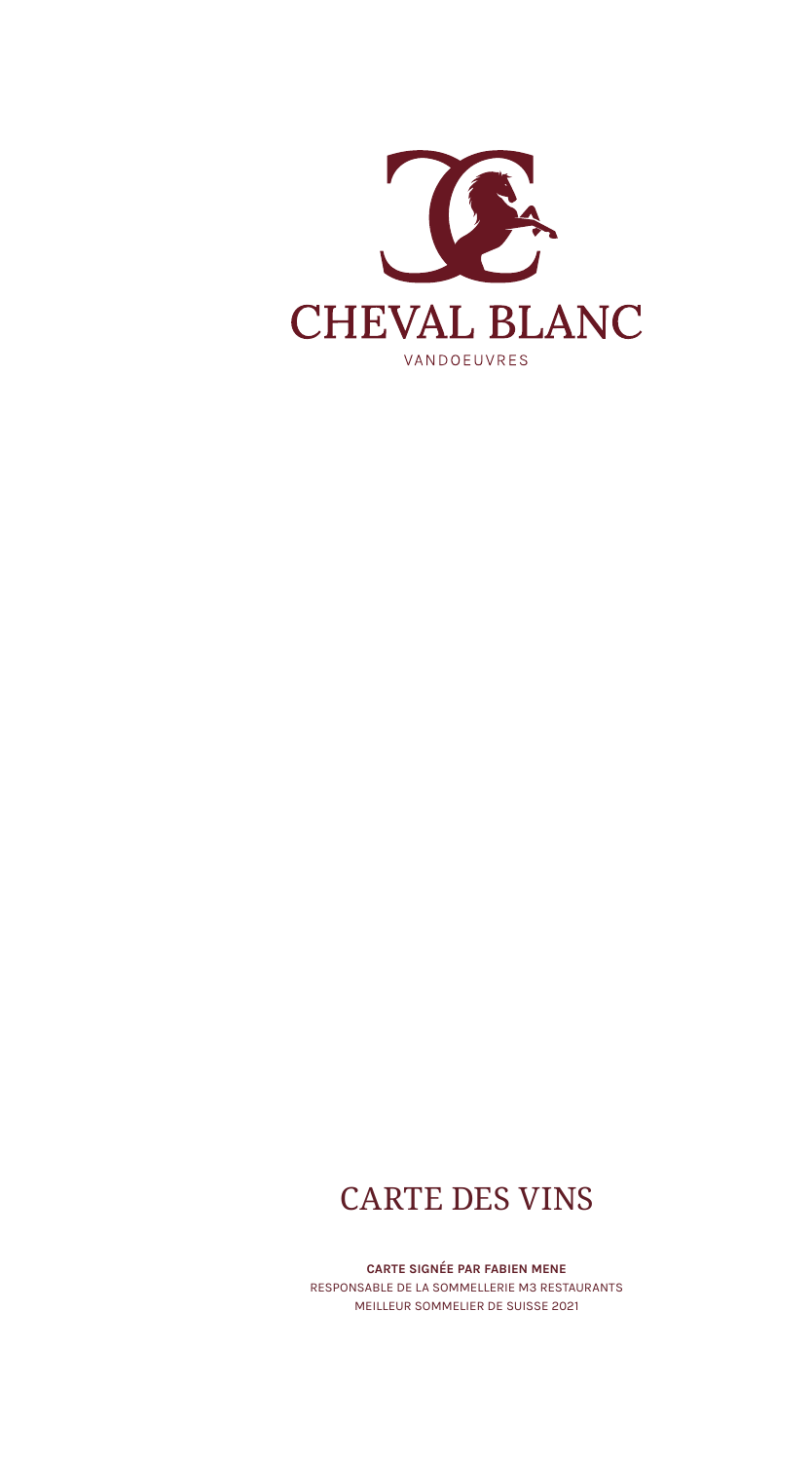

# CARTE DES VINS

CARTE SIGNÉE PAR FABIEN MENE RESPONSABLE DE LA SOMMELLERIE M3 RESTAURANTS MEILLEUR SOMMELIER DE SUISSE 2021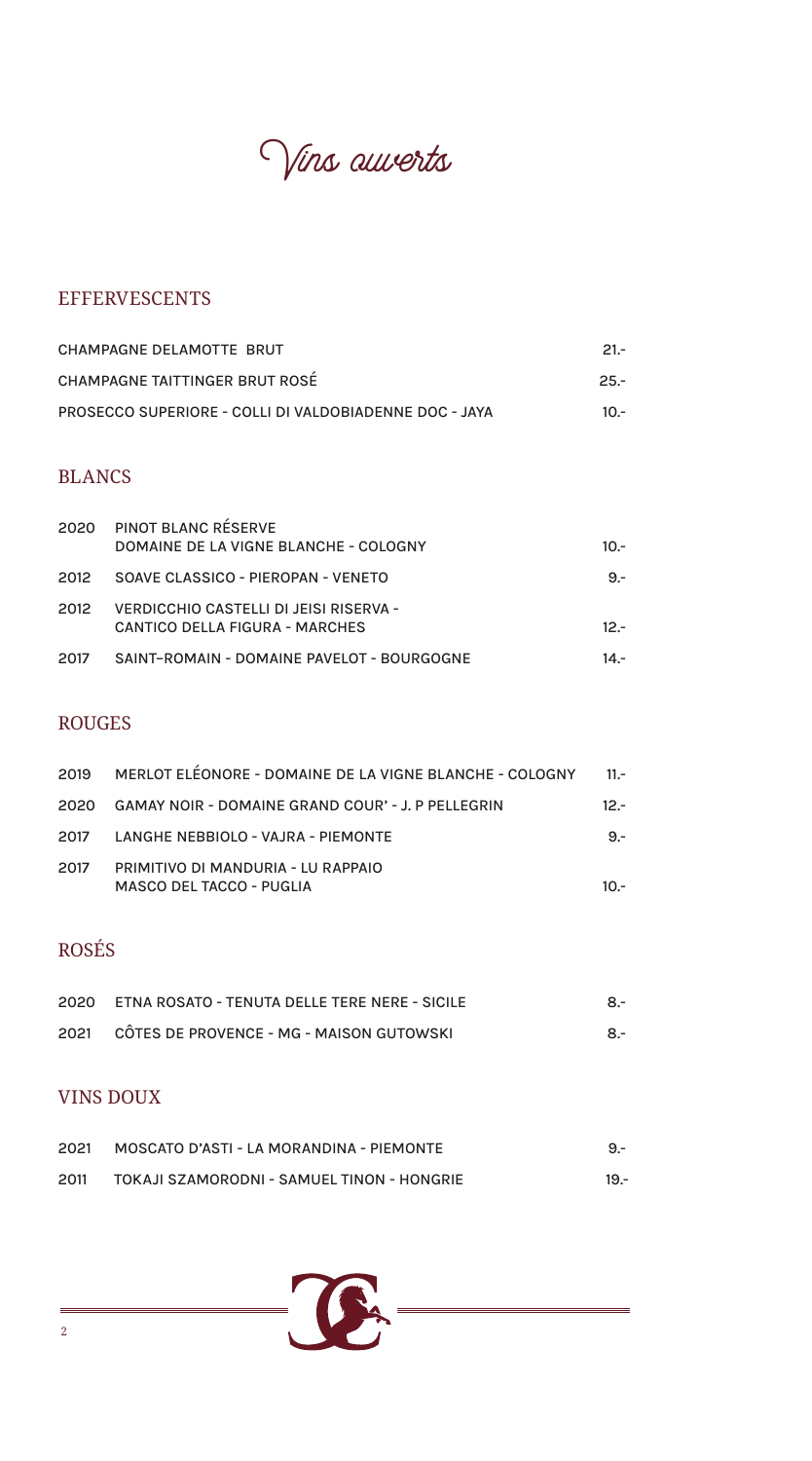Vins ouverts

# EFFERVESCENTS

| CHAMPAGNE DELAMOTTE BRUT                               | $21 -$ |
|--------------------------------------------------------|--------|
| CHAMPAGNE TAITTINGER BRUT ROSÉ                         | $25 -$ |
| PROSECCO SUPERIORE - COLLI DI VALDOBIADENNE DOC - JAYA | - 10   |

### BLANCS

| 2020 | <b>PINOT BLANC RESERVE</b>                 |        |
|------|--------------------------------------------|--------|
|      | DOMAINE DE LA VIGNE BLANCHE - COLOGNY      | $10 -$ |
| 2012 | SOAVE CLASSICO - PIEROPAN - VENETO         | $9 -$  |
| 2012 | VERDICCHIO CASTELLI DI JEISI RISERVA -     |        |
|      | <b>CANTICO DELLA FIGURA - MARCHES</b>      | $12 -$ |
| 2017 | SAINT-ROMAIN - DOMAINE PAVELOT - BOURGOGNE | $14 -$ |

#### ROUGES

| 2019 | MERLOT ELEONORE - DOMAINE DE LA VIGNE BLANCHE - COLOGNY               | $11. -$ |
|------|-----------------------------------------------------------------------|---------|
|      | 2020 GAMAY NOIR - DOMAINE GRAND COUR' - J. P PELLEGRIN                | $12 -$  |
| 2017 | LANGHE NEBBIOLO - VAJRA - PIEMONTE                                    | $9 -$   |
| 2017 | PRIMITIVO DI MANDURIA - LU RAPPAIO<br><b>MASCO DEL TACCO - PUGLIA</b> | $10 -$  |

# ROSÉS

| 2020 ETNA ROSATO - TENUTA DELLE TERE NERE - SICILE | $8-$ |
|----------------------------------------------------|------|
| 2021 CÔTES DE PROVENCE - MG - MAISON GUTOWSKI      | $8-$ |

## VINS DOUX

| 2021 | MOSCATO D'ASTI - LA MORANDINA - PIEMONTE   | $9 -$  |
|------|--------------------------------------------|--------|
| 2011 | TOKAJI SZAMORODNI - SAMUEL TINON - HONGRIE | $19 -$ |

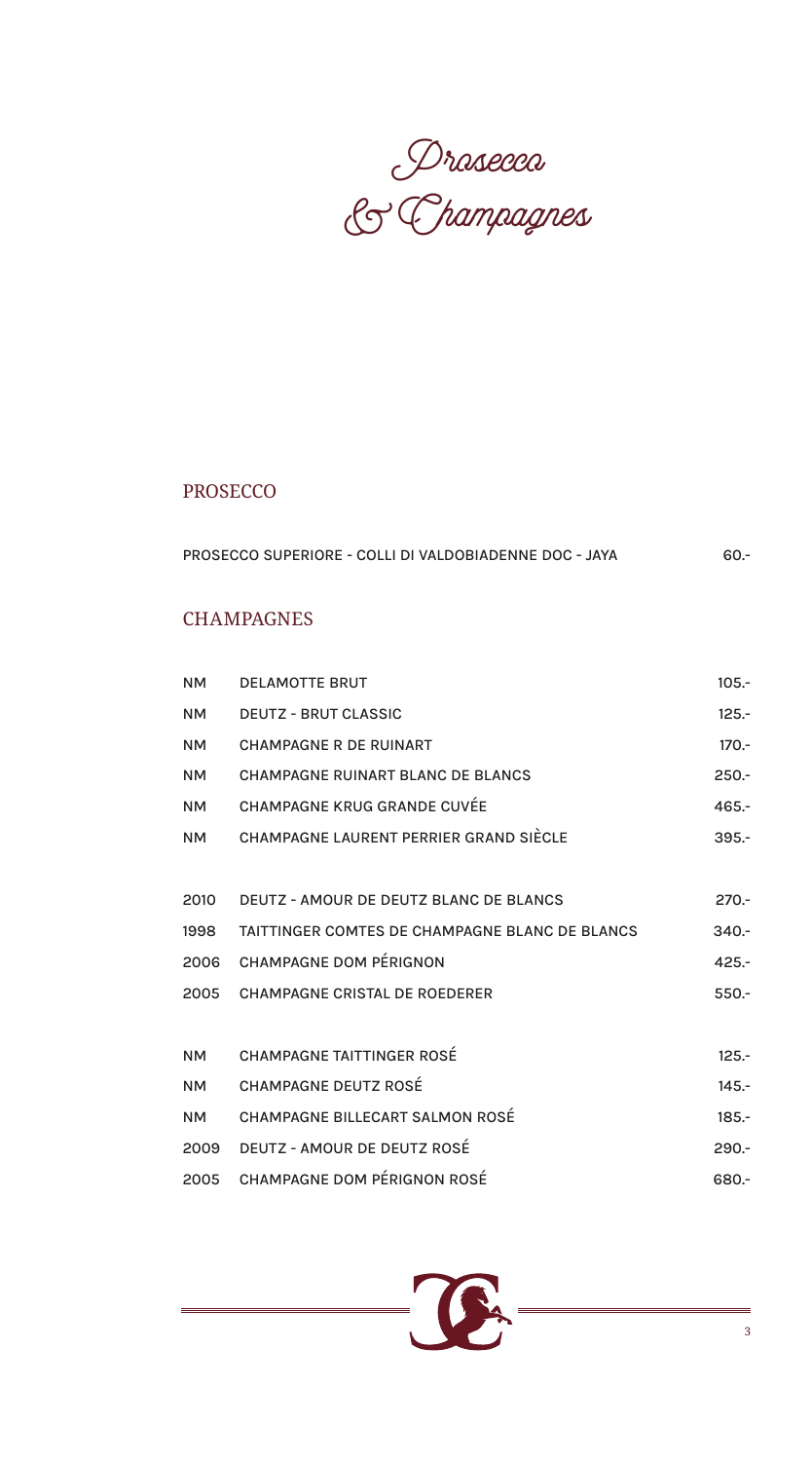Prosecco & Champagnes

# PROSECCO

| PROSECCO SUPERIORE - COLLI DI VALDOBIADENNE DOC - JAYA | - 60 |
|--------------------------------------------------------|------|
|                                                        |      |
|                                                        |      |
|                                                        |      |

# **CHAMPAGNES**

| <b>NM</b> | <b>DELAMOTTE BRUT</b>                          | $105 -$ |
|-----------|------------------------------------------------|---------|
| <b>NM</b> | <b>DEUTZ - BRUT CLASSIC</b>                    | $125 -$ |
| <b>NM</b> | CHAMPAGNE R DE RUINART                         | $170 -$ |
| <b>NM</b> | <b>CHAMPAGNE RUINART BLANC DE BLANCS</b>       | $250 -$ |
| <b>NM</b> | <b>CHAMPAGNE KRUG GRANDE CUVÉE</b>             | $465 -$ |
| <b>NM</b> | CHAMPAGNE LAURENT PERRIER GRAND SIÈCLE         | $395 -$ |
|           |                                                |         |
| 2010      | DEUTZ - AMOUR DE DEUTZ BLANC DE BLANCS         | $270 -$ |
| 1998      | TAITTINGER COMTES DE CHAMPAGNE BLANC DE BLANCS | $340 -$ |
| 2006      | <b>CHAMPAGNE DOM PÉRIGNON</b>                  | $425 -$ |
| 2005      | <b>CHAMPAGNE CRISTAL DE ROEDERER</b>           | $550 -$ |
|           |                                                |         |
| <b>NM</b> | <b>CHAMPAGNE TAITTINGER ROSÉ</b>               | $125 -$ |
| <b>NM</b> | <b>CHAMPAGNE DEUTZ ROSÉ</b>                    | $145 -$ |
| <b>NM</b> | CHAMPAGNE BILLECART SALMON ROSÉ                | $185 -$ |
| 2009      | DEUTZ - AMOUR DE DEUTZ ROSÉ                    | $290 -$ |
| 2005      | <b>CHAMPAGNE DOM PÉRIGNON ROSÉ</b>             | 680.-   |

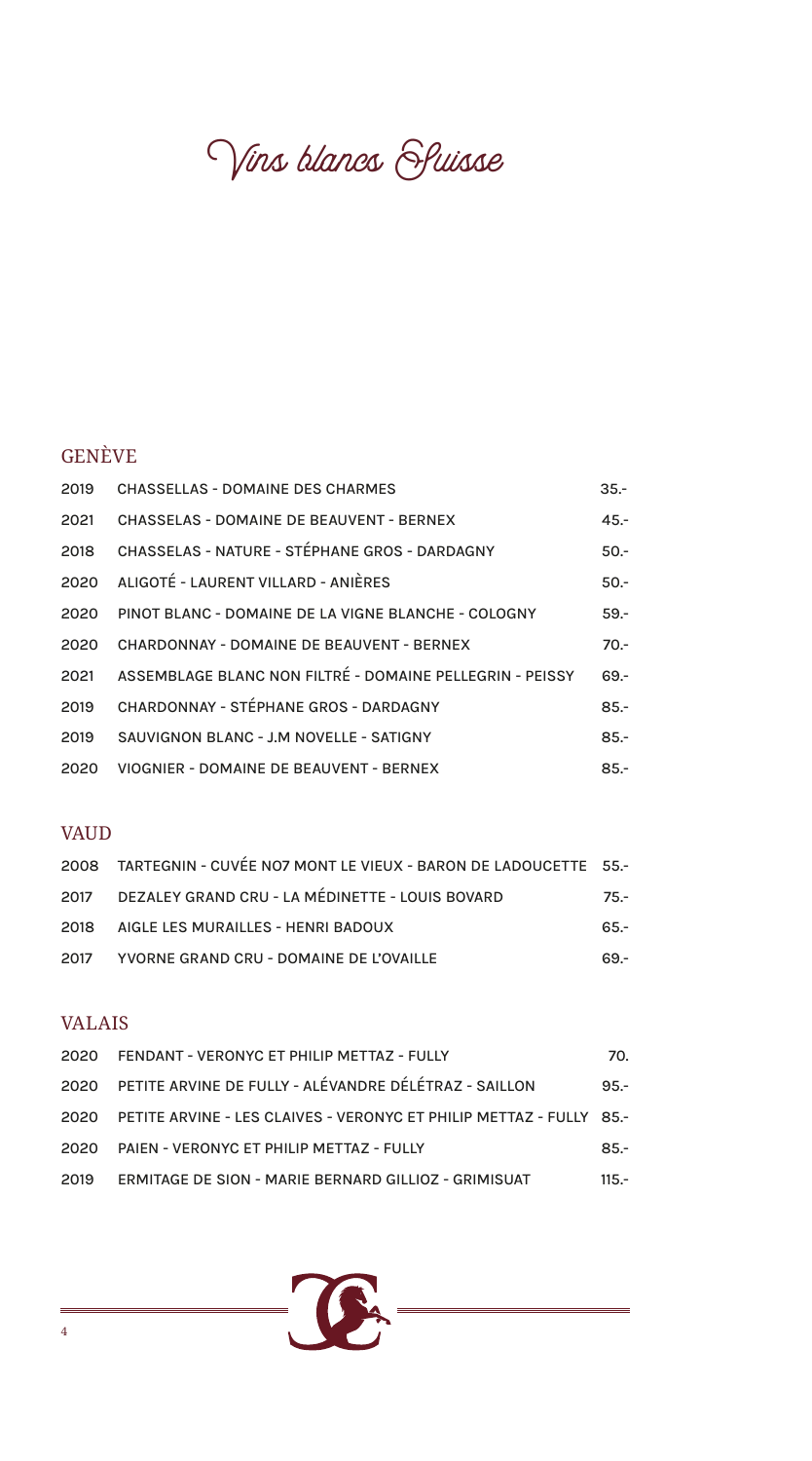Vins blancs Sluisse

# GENÈVE

| 2019 | <b>CHASSELLAS - DOMAINE DES CHARMES</b>                  | $35 -$ |
|------|----------------------------------------------------------|--------|
| 2021 | CHASSELAS - DOMAINE DE BEAUVENT - BERNEX                 | $45 -$ |
| 2018 | CHASSELAS - NATURE - STÉPHANE GROS - DARDAGNY            | $50 -$ |
|      | 2020 ALIGOTÉ - LAURENT VILLARD - ANIÈRES                 | $50 -$ |
|      | 2020 PINOT BLANC - DOMAINE DE LA VIGNE BLANCHE - COLOGNY | $59 -$ |
| 2020 | CHARDONNAY - DOMAINE DE BEAUVENT - BERNEX                | $70 -$ |
| 2021 | ASSEMBLAGE BLANC NON FILTRÉ - DOMAINE PELLEGRIN - PEISSY | $69 -$ |
| 2019 | CHARDONNAY - STÉPHANE GROS - DARDAGNY                    | $85 -$ |
| 2019 | SAUVIGNON BLANC - J.M NOVELLE - SATIGNY                  | $85 -$ |
| 2020 | <b>VIOGNIER - DOMAINE DE BEAUVENT - BERNEX</b>           | $85 -$ |

### VAUD

| 2008 TARTEGNIN - CUVÉE NO7 MONT LE VIEUX - BARON DE LADOUCETTE 55.- |        |
|---------------------------------------------------------------------|--------|
| 2017 DEZALEY GRAND CRU - LA MÉDINETTE - LOUIS BOVARD                | $75 -$ |
| 2018 AIGLE LES MURAILLES - HENRI BADOUX                             | $65 -$ |
| 2017 YVORNE GRAND CRU - DOMAINE DE L'OVAILLE                        | 69 -   |

# VALAIS

|      | 2020 FENDANT - VERONYC ET PHILIP METTAZ - FULLY                          | 70.     |
|------|--------------------------------------------------------------------------|---------|
|      | 2020 PETITE ARVINE DE FULLY - ALÉVANDRE DÉLÉTRAZ - SAILLON               | $95 -$  |
|      | 2020 PETITE ARVINE - LES CLAIVES - VERONYC ET PHILIP METTAZ - FULLY 85.- |         |
| 2020 | PAIEN - VERONYC ET PHILIP METTAZ - FULLY                                 | $85 -$  |
| 2019 | ERMITAGE DE SION - MARIE BERNARD GILLIOZ - GRIMISUAT                     | $115 -$ |

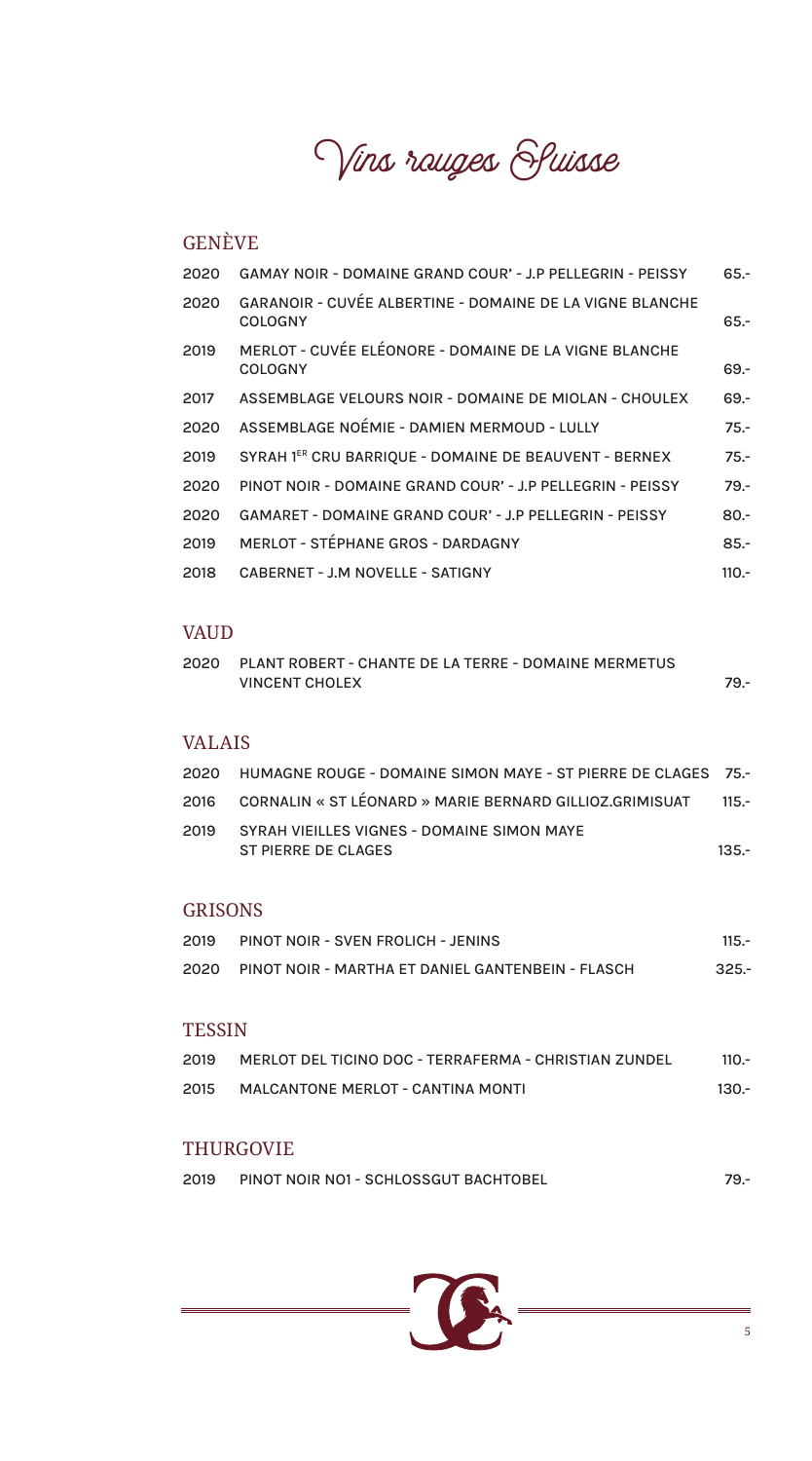Vins rauges Sluisse

# GENÈVE

| 2020 | <b>GAMAY NOIR - DOMAINE GRAND COUR' - J.P PELLEGRIN - PEISSY</b>           | $65 -$  |
|------|----------------------------------------------------------------------------|---------|
| 2020 | GARANOIR - CUVÉE ALBERTINE - DOMAINE DE LA VIGNE BLANCHE<br><b>COLOGNY</b> | $65 -$  |
| 2019 | MERLOT - CUVÉE ELÉONORE - DOMAINE DE LA VIGNE BLANCHE<br><b>COLOGNY</b>    | $69 -$  |
| 2017 | ASSEMBLAGE VELOURS NOIR - DOMAINE DE MIOLAN - CHOULEX                      | $69 -$  |
| 2020 | ASSEMBLAGE NOÉMIE - DAMIEN MERMOUD - LULLY                                 | $75. -$ |
| 2019 | SYRAH 1ER CRU BARRIQUE - DOMAINE DE BEAUVENT - BERNEX                      | $75. -$ |
| 2020 | PINOT NOIR - DOMAINE GRAND COUR' - J.P PELLEGRIN - PEISSY                  | $79 -$  |
| 2020 | <b>GAMARET - DOMAINE GRAND COUR' - J.P PELLEGRIN - PEISSY</b>              | $80 -$  |
| 2019 | MERLOT - STÉPHANE GROS - DARDAGNY                                          | $85 -$  |
| 2018 | CABERNET - J.M NOVELLE - SATIGNY                                           | $110 -$ |
|      |                                                                            |         |

#### VAUD

2020 PLANT ROBERT - CHANTE DE LA TERRE - DOMAINE MERMETUS VINCENT CHOLEX 79.-

#### VALAIS

|      | 2020 HUMAGNE ROUGE - DOMAINE SIMON MAYE - ST PIERRE DE CLAGES 75.- |         |
|------|--------------------------------------------------------------------|---------|
|      | 2016 CORNALIN « ST LÉONARD » MARIE BERNARD GILLIOZ.GRIMISUAT 115.- |         |
| 2019 | SYRAH VIEILLES VIGNES - DOMAINE SIMON MAYE<br>ST PIERRE DE CLAGES  | $135 -$ |

#### GRISONS

| 2019 | PINOT NOIR - SVEN FROLICH - JENINS                | $115 -$ |
|------|---------------------------------------------------|---------|
| 2020 | PINOT NOIR - MARTHA ET DANIEL GANTENBEIN - FLASCH | $325 -$ |
|      |                                                   |         |

#### **TESSIN**

| 2019 | MERLOT DEL TICINO DOC - TERRAFERMA - CHRISTIAN ZUNDEL | $110 -$ |
|------|-------------------------------------------------------|---------|
| 2015 | MALCANTONE MERLOT - CANTINA MONTI                     | -130.   |

#### THURGOVIE

| 2019 | PINOT NOIR NO1 - SCHLOSSGUT BACHTOBEL |  |
|------|---------------------------------------|--|
|      |                                       |  |

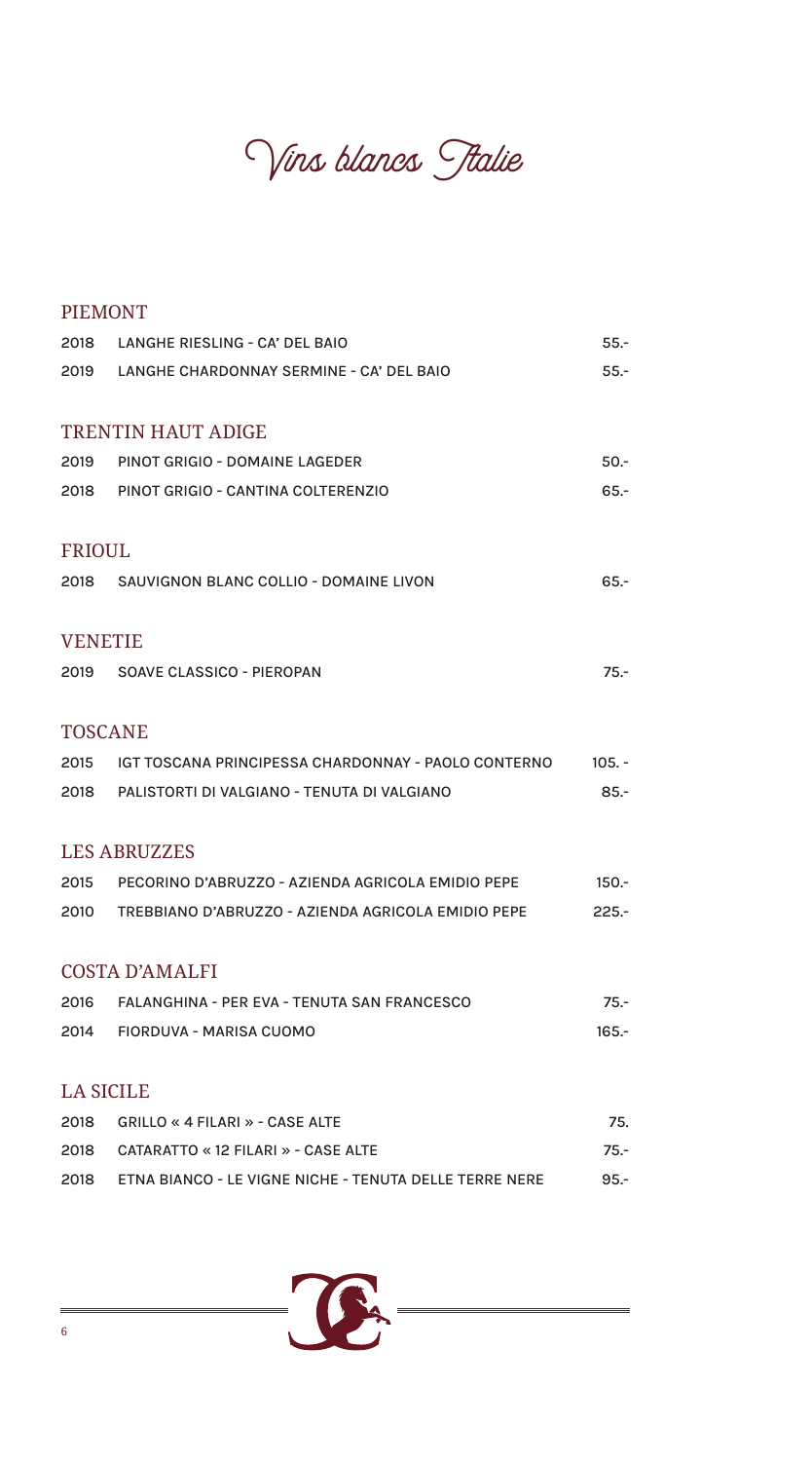Vins blancs Stalie

| <b>PIEMONT</b>   |                                                               |          |
|------------------|---------------------------------------------------------------|----------|
| 2018             | LANGHE RIESLING - CA' DEL BAIO                                | $55 -$   |
|                  | 2019 LANGHE CHARDONNAY SERMINE - CA' DEL BAIO                 | $55. -$  |
|                  | <b>TRENTIN HAUT ADIGE</b>                                     |          |
| 2019             | PINOT GRIGIO - DOMAINE LAGEDER                                | $50 -$   |
|                  | 2018 PINOT GRIGIO - CANTINA COLTERENZIO                       | $65 -$   |
| <b>FRIOUL</b>    |                                                               |          |
|                  | 2018 SAUVIGNON BLANC COLLIO - DOMAINE LIVON                   | $65 -$   |
| <b>VENETIE</b>   |                                                               |          |
|                  | 2019 SOAVE CLASSICO - PIEROPAN                                | $75. -$  |
| <b>TOSCANE</b>   |                                                               |          |
| 2015             | IGT TOSCANA PRINCIPESSA CHARDONNAY - PAOLO CONTERNO           | $105. -$ |
|                  | 2018 PALISTORTI DI VALGIANO - TENUTA DI VALGIANO              | $85 -$   |
|                  | <b>LES ABRUZZES</b>                                           |          |
| 2015             | PECORINO D'ABRUZZO - AZIENDA AGRICOLA EMIDIO PEPE             | $150 -$  |
| 2010             | TREBBIANO D'ABRUZZO - AZIENDA AGRICOLA EMIDIO PEPE            | $225 -$  |
|                  | <b>COSTA D'AMALFI</b>                                         |          |
| 2016             | FALANGHINA - PER EVA - TENUTA SAN FRANCESCO                   | $75. -$  |
| 2014             | FIORDUVA - MARISA CUOMO                                       | $165 -$  |
| <b>LA SICILE</b> |                                                               |          |
| 2018             | GRILLO « 4 FILARI » - CASE ALTE                               | 75.      |
| 2018             | CATARATTO « 12 FILARI » - CASE ALTE                           | 75.-     |
| 2018             | <b>ETNA BIANCO - LE VIGNE NICHE - TENUTA DELLE TERRE NERE</b> | $95 -$   |



 $=$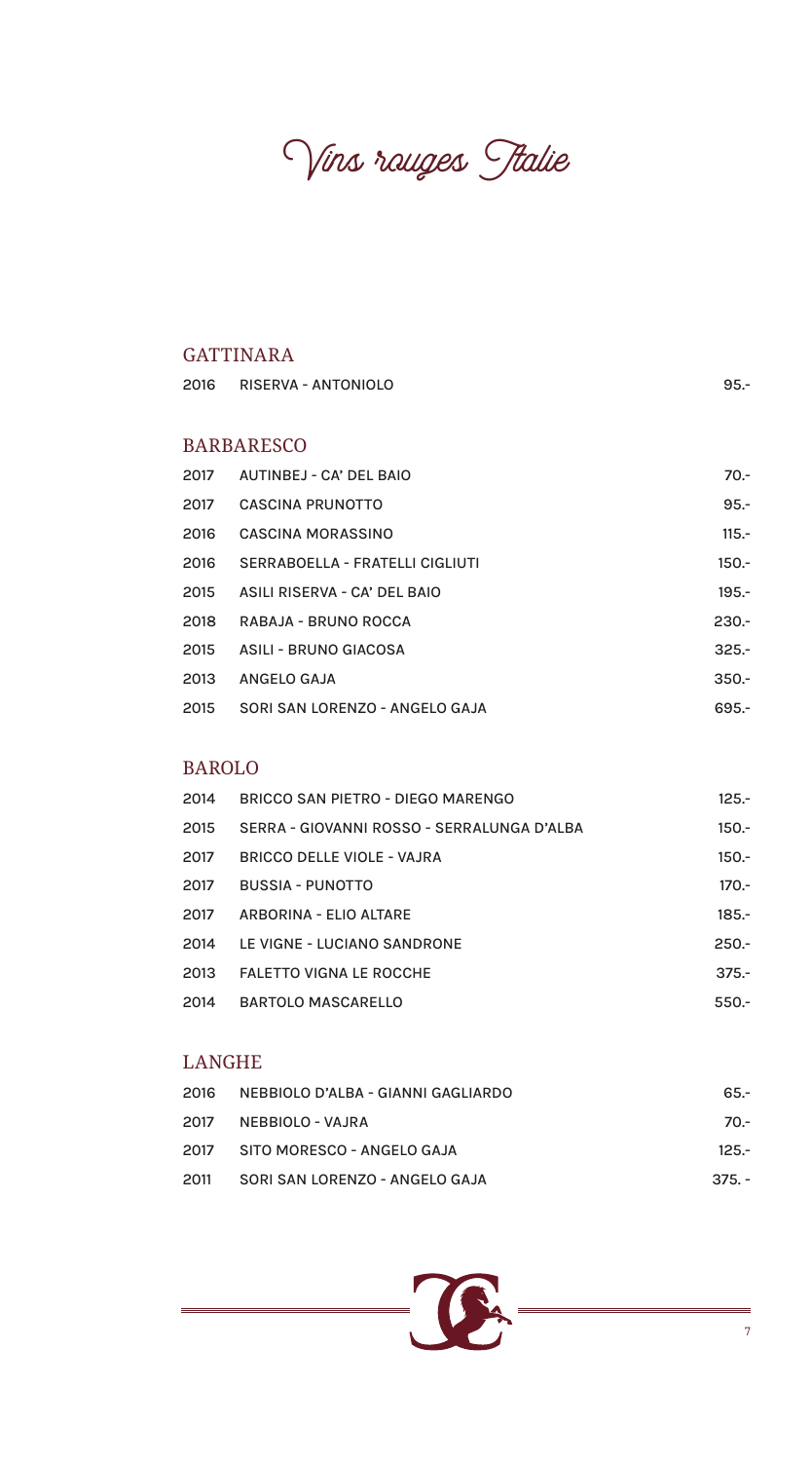Vins rouges Italie

## GATTINARA

| 2016 | RISERVA - ANTONIOLO             | $95 -$  |
|------|---------------------------------|---------|
|      | <b>BARBARESCO</b>               |         |
| 2017 | AUTINBEJ - CA' DEL BAIO         | $70 -$  |
| 2017 | <b>CASCINA PRUNOTTO</b>         | $95 -$  |
| 2016 | <b>CASCINA MORASSINO</b>        | $115.-$ |
| 2016 | SERRABOELLA - FRATELLI CIGLIUTI | $150 -$ |
| 2015 | ASILI RISERVA - CA' DEL BAIO    | $195 -$ |
| 2018 | RABAJA - BRUNO ROCCA            | $230 -$ |
| 2015 | <b>ASILI - BRUNO GIACOSA</b>    | $325 -$ |
| 2013 | ANGELO GAJA                     | $350 -$ |
| 2015 | SORI SAN LORENZO - ANGELO GAJA  | $695 -$ |

#### BAROLO

| 2014 | BRICCO SAN PIETRO - DIEGO MARENGO          | $125 -$ |
|------|--------------------------------------------|---------|
| 2015 | SERRA - GIOVANNI ROSSO - SERRALUNGA D'ALBA | $150 -$ |
| 2017 | BRICCO DELLE VIOLE - VAJRA                 | $150 -$ |
| 2017 | <b>BUSSIA - PUNOTTO</b>                    | $170 -$ |
| 2017 | ARBORINA - ELIO ALTARE                     | $185 -$ |
| 2014 | LE VIGNE - LUCIANO SANDRONE                | $250 -$ |
| 2013 | <b>FALETTO VIGNA LE ROCCHE</b>             | $375 -$ |
| 2014 | <b>BARTOLO MASCARELLO</b>                  | $550 -$ |

# LANGHE

| 2016 | NEBBIOLO D'ALBA - GIANNI GAGLIARDO | 65.-     |
|------|------------------------------------|----------|
| 2017 | NEBBIOLO - VAJRA                   | 70.-     |
|      | 2017 SITO MORESCO - ANGELO GAJA    | $125 -$  |
| 2011 | SORI SAN LORENZO - ANGELO GAJA     | $375. -$ |

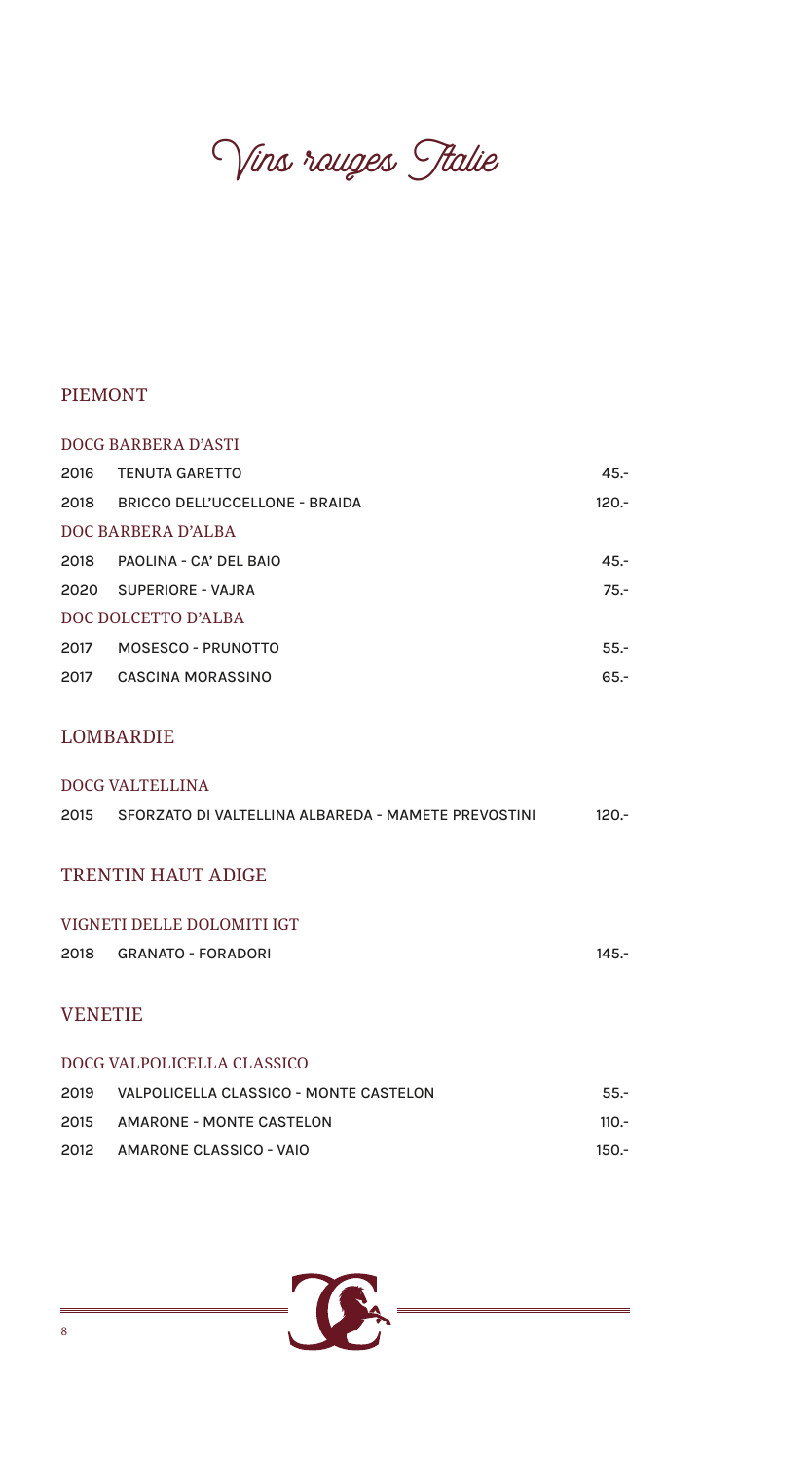Vins rauges Stalie

## PIEMONT

|      | DOCG BARBERA D'ASTI            |         |  |  |
|------|--------------------------------|---------|--|--|
| 2016 | <b>TENUTA GARETTO</b>          | $45 -$  |  |  |
| 2018 | BRICCO DELL'UCCELLONE - BRAIDA | $120 -$ |  |  |
|      | DOC BARBERA D'ALBA             |         |  |  |
| 2018 | PAOLINA - CA' DEL BAIO         | $45 -$  |  |  |
|      | 2020 SUPERIORE - VAJRA         | $75 -$  |  |  |
|      | DOC DOLCETTO D'ALBA            |         |  |  |
| 2017 | MOSESCO - PRUNOTTO             | $55 -$  |  |  |
| 2017 | <b>CASCINA MORASSINO</b>       | $65 -$  |  |  |

#### LOMBARDIE

| DOCG VALTELLINA |  |  |
|-----------------|--|--|
| $120 -$         |  |  |
|                 |  |  |
|                 |  |  |
|                 |  |  |
|                 |  |  |
| $145 -$         |  |  |
|                 |  |  |
| <b>VENETIE</b>  |  |  |
|                 |  |  |
|                 |  |  |
| $55 -$          |  |  |
| $110 -$         |  |  |
|                 |  |  |

2012 AMARONE CLASSICO - VAIO 150.-

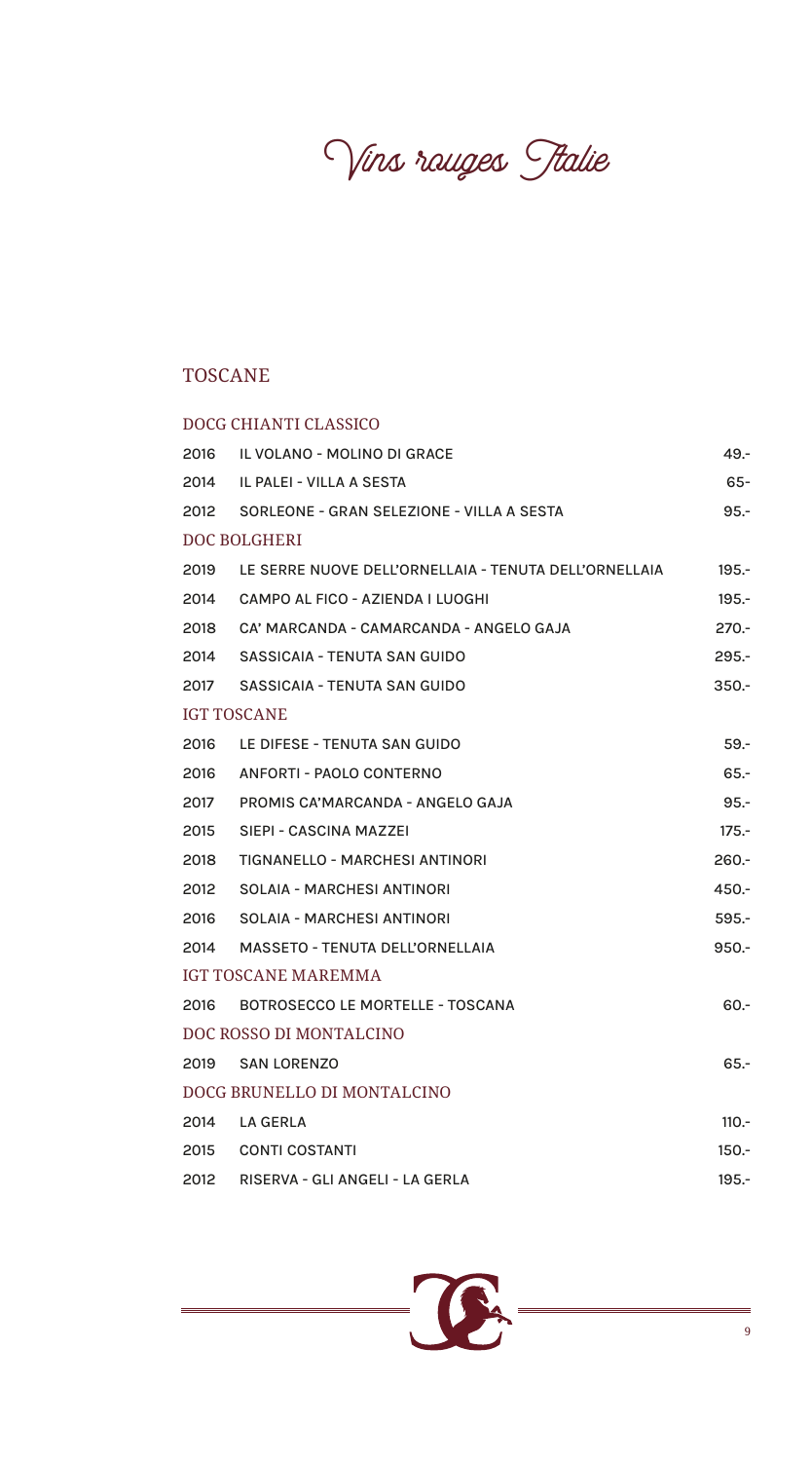Vins rauges Stalie

# TOSCANE

|      | DOCG CHIANTI CLASSICO                                 |          |
|------|-------------------------------------------------------|----------|
| 2016 | IL VOLANO - MOLINO DI GRACE                           | $49. -$  |
| 2014 | IL PALEI - VILLA A SESTA                              | $65 -$   |
| 2012 | SORLEONE - GRAN SELEZIONE - VILLA A SESTA             | $95 -$   |
|      | <b>DOC BOLGHERI</b>                                   |          |
| 2019 | LE SERRE NUOVE DELL'ORNELLAIA - TENUTA DELL'ORNELLAIA | $195 -$  |
| 2014 | CAMPO AL FICO - AZIENDA I LUOGHI                      | $195 -$  |
| 2018 | CA' MARCANDA - CAMARCANDA - ANGELO GAJA               | $270 -$  |
| 2014 | SASSICAIA - TENUTA SAN GUIDO                          | $295 -$  |
| 2017 | SASSICAIA - TENUTA SAN GUIDO                          | $350 -$  |
|      | <b>IGT TOSCANE</b>                                    |          |
| 2016 | LE DIFESE - TENUTA SAN GUIDO                          | $59. -$  |
| 2016 | <b>ANFORTI - PAOLO CONTERNO</b>                       | $65 -$   |
| 2017 | PROMIS CA'MARCANDA - ANGELO GAJA                      | $95 -$   |
| 2015 | SIEPI - CASCINA MAZZEI                                | $175 -$  |
| 2018 | <b>TIGNANELLO - MARCHESI ANTINORI</b>                 | $260 -$  |
| 2012 | <b>SOLAIA - MARCHESI ANTINORI</b>                     | $450 -$  |
| 2016 | <b>SOLAIA - MARCHESI ANTINORI</b>                     | $595 -$  |
| 2014 | <b>MASSETO - TENUTA DELL'ORNELLAIA</b>                | $950 -$  |
|      | <b>IGT TOSCANE MAREMMA</b>                            |          |
| 2016 | <b>BOTROSECCO LE MORTELLE - TOSCANA</b>               | $60 -$   |
|      | DOC ROSSO DI MONTALCINO                               |          |
| 2019 | <b>SAN LORENZO</b>                                    | $65 -$   |
|      | DOCG BRUNELLO DI MONTALCINO                           |          |
| 2014 | <b>LA GERLA</b>                                       | $110.-$  |
| 2015 | <b>CONTI COSTANTI</b>                                 | $150. -$ |
| 2012 | RISERVA - GLI ANGELI - LA GERLA                       | $195 -$  |

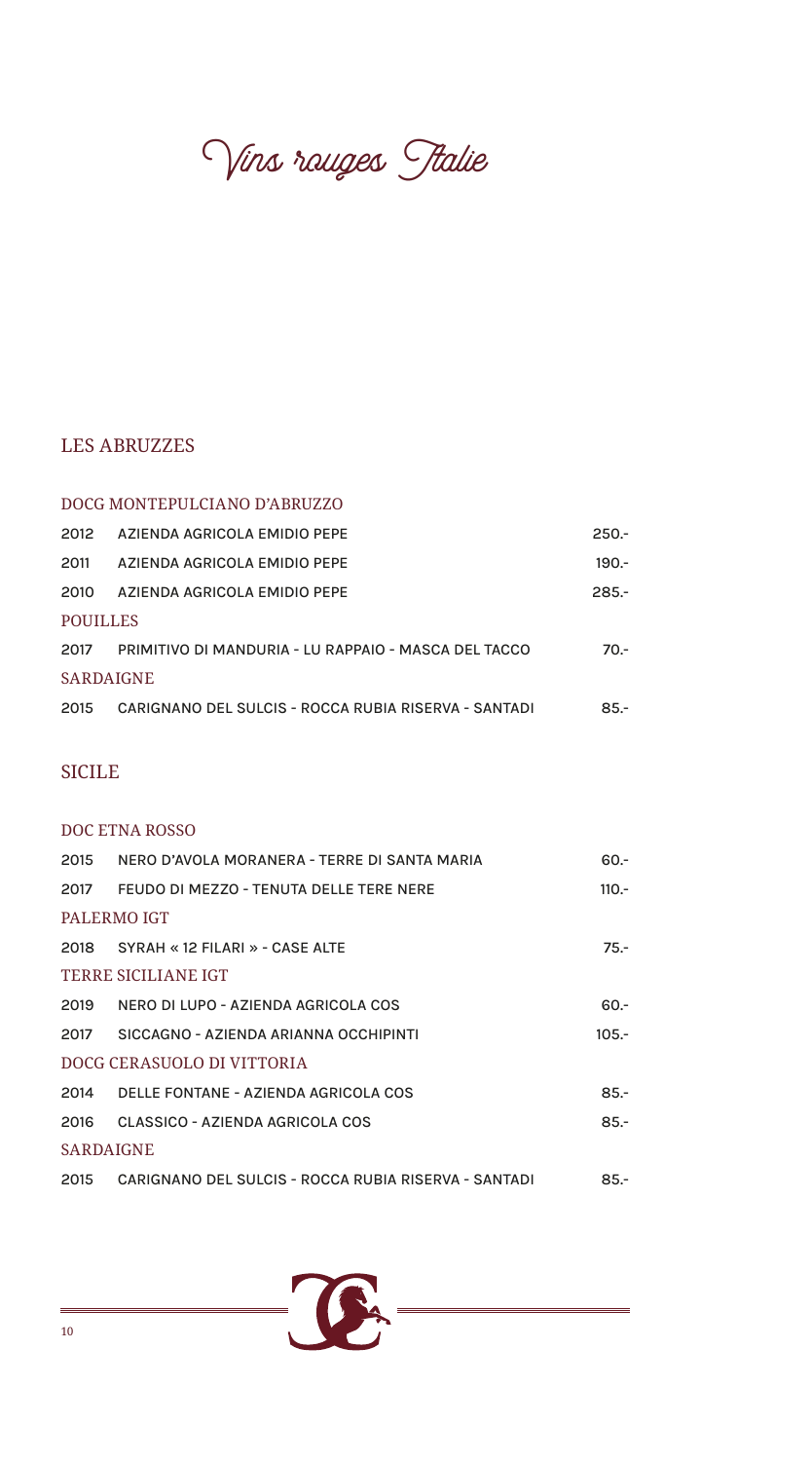Vins rauges Stalie

#### LES ABRUZZES

#### DOCG MONTEPULCIANO D'ABRUZZO

| 2012             | AZIENDA AGRICOLA EMIDIO PEPE                         | $250 -$ |  |
|------------------|------------------------------------------------------|---------|--|
| 2011             | AZIENDA AGRICOLA EMIDIO PEPE                         | $190 -$ |  |
| 2010             | AZIENDA AGRICOLA EMIDIO PEPE                         | $285 -$ |  |
| POUILLES         |                                                      |         |  |
| 2017             | PRIMITIVO DI MANDURIA - LU RAPPAIO - MASCA DEL TACCO | $70 -$  |  |
| <b>SARDAIGNE</b> |                                                      |         |  |
| 2015             | CARIGNANO DEL SULCIS - ROCCA RUBIA RISERVA - SANTADI | $85 -$  |  |
|                  |                                                      |         |  |

## SICILE

#### DOC ETNA ROSSO

| 2015                       | NERO D'AVOLA MORANERA - TERRE DI SANTA MARIA         | $60 -$  |
|----------------------------|------------------------------------------------------|---------|
| 2017                       | FEUDO DI MEZZO - TENUTA DELLE TERE NERE              | $110 -$ |
|                            | PALERMO IGT                                          |         |
|                            | 2018 SYRAH «12 FILARI » - CASE ALTE                  | $75 -$  |
|                            | <b>TERRE SICILIANE IGT</b>                           |         |
| 2019                       | NERO DI LUPO - AZIENDA AGRICOLA COS                  | $60 -$  |
| 2017                       | SICCAGNO - AZIENDA ARIANNA OCCHIPINTI                | $105 -$ |
| DOCG CERASUOLO DI VITTORIA |                                                      |         |
| 2014                       | DELLE FONTANE - AZIENDA AGRICOLA COS                 | $85 -$  |
| 2016                       | CLASSICO - AZIENDA AGRICOLA COS                      | $85 -$  |
| <b>SARDAIGNE</b>           |                                                      |         |
| 2015                       | CARIGNANO DEL SULCIS - ROCCA RUBIA RISERVA - SANTADI | $85 -$  |

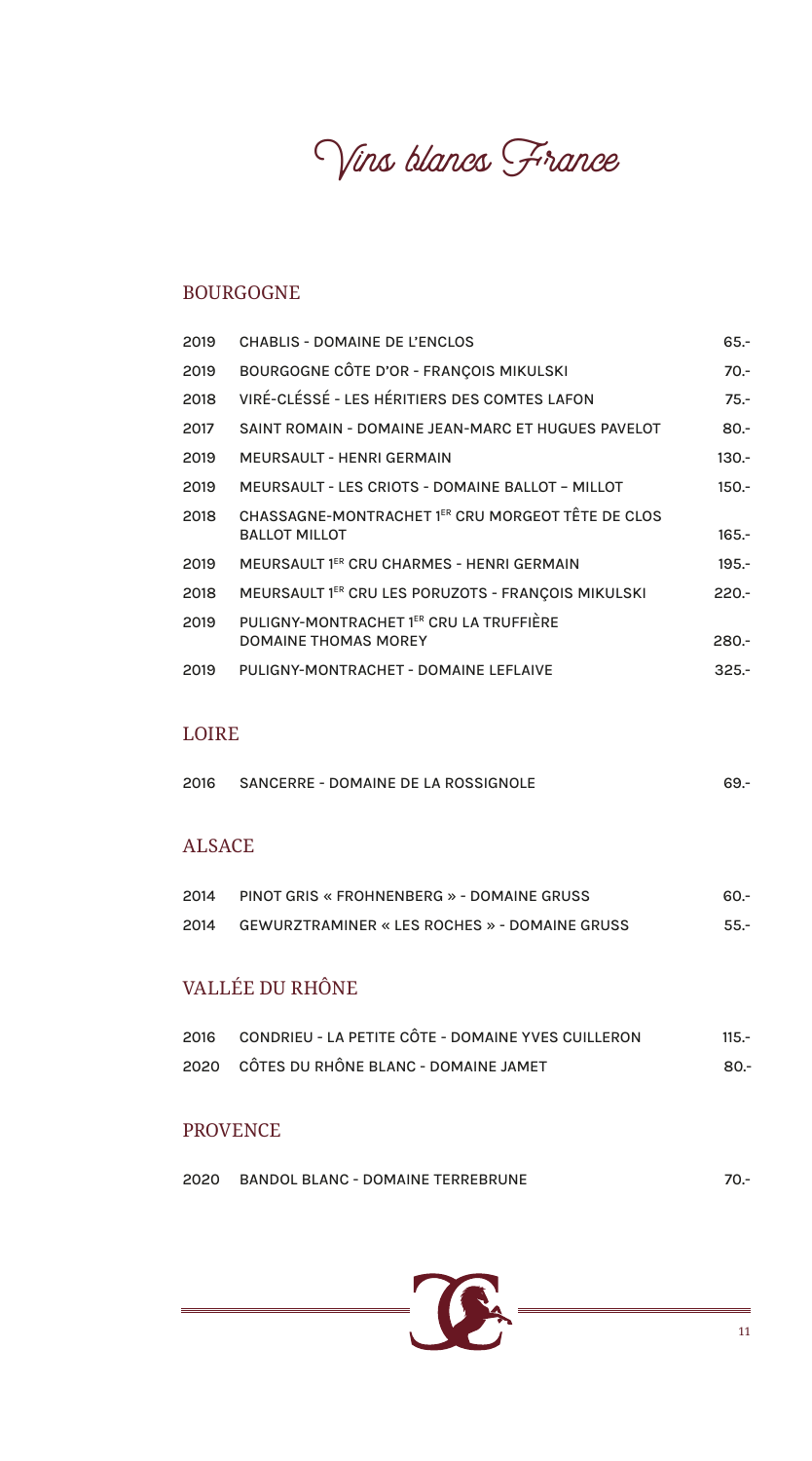Vins blancs France

#### BOURGOGNE

| 2019 | <b>CHABLIS - DOMAINE DE L'ENCLOS</b>                                      | $65 -$  |
|------|---------------------------------------------------------------------------|---------|
| 2019 | BOURGOGNE CÔTE D'OR - FRANÇOIS MIKULSKI                                   | $70 -$  |
| 2018 | VIRÉ-CLÉSSÉ - LES HÉRITIERS DES COMTES LAFON                              | $75. -$ |
| 2017 | SAINT ROMAIN - DOMAINE JEAN-MARC ET HUGUES PAVELOT                        | $80 -$  |
| 2019 | <b>MEURSAULT - HENRI GERMAIN</b>                                          | $130 -$ |
| 2019 | <b>MEURSAULT - LES CRIOTS - DOMAINE BALLOT - MILLOT</b>                   | $150 -$ |
| 2018 | CHASSAGNE-MONTRACHET 1ER CRU MORGEOT TÊTE DE CLOS<br><b>BALLOT MILLOT</b> | $165 -$ |
| 2019 | MEURSAULT 1ER CRU CHARMES - HENRI GERMAIN                                 | $195 -$ |
| 2018 | MEURSAULT 1ER CRU LES PORUZOTS - FRANÇOIS MIKULSKI                        | $220 -$ |
| 2019 | PULIGNY-MONTRACHET 1 <sup>ER</sup> CRU LA TRUFFIÈRE                       |         |
|      | <b>DOMAINE THOMAS MOREY</b>                                               | $280 -$ |
| 2019 | PULIGNY-MONTRACHET - DOMAINE LEFLAIVE                                     | $325 -$ |

#### LOIRE

| 2016 | SANCERRE - DOMAINE DE LA ROSSIGNOLE |  |
|------|-------------------------------------|--|
|      |                                     |  |

# ALSACE

| 2014 | PINOT GRIS « FROHNENBERG » - DOMAINE GRUSS           | -60.   |
|------|------------------------------------------------------|--------|
| 2014 | <b>GEWURZTRAMINER « LES ROCHES » - DOMAINE GRUSS</b> | $55 -$ |

# VALLÉE DU RHÔNE

| 2016 CONDRIEU - LA PETITE CÔTE - DOMAINE YVES CUILLERON | $115 -$ |
|---------------------------------------------------------|---------|
| 2020 CÔTES DU RHÔNE BLANC - DOMAINE JAMET               | -80.    |

#### PROVENCE

| 2020 | <b>BANDOL BLANC - DOMAINE TERREBRUNE</b> |  |
|------|------------------------------------------|--|
|      |                                          |  |

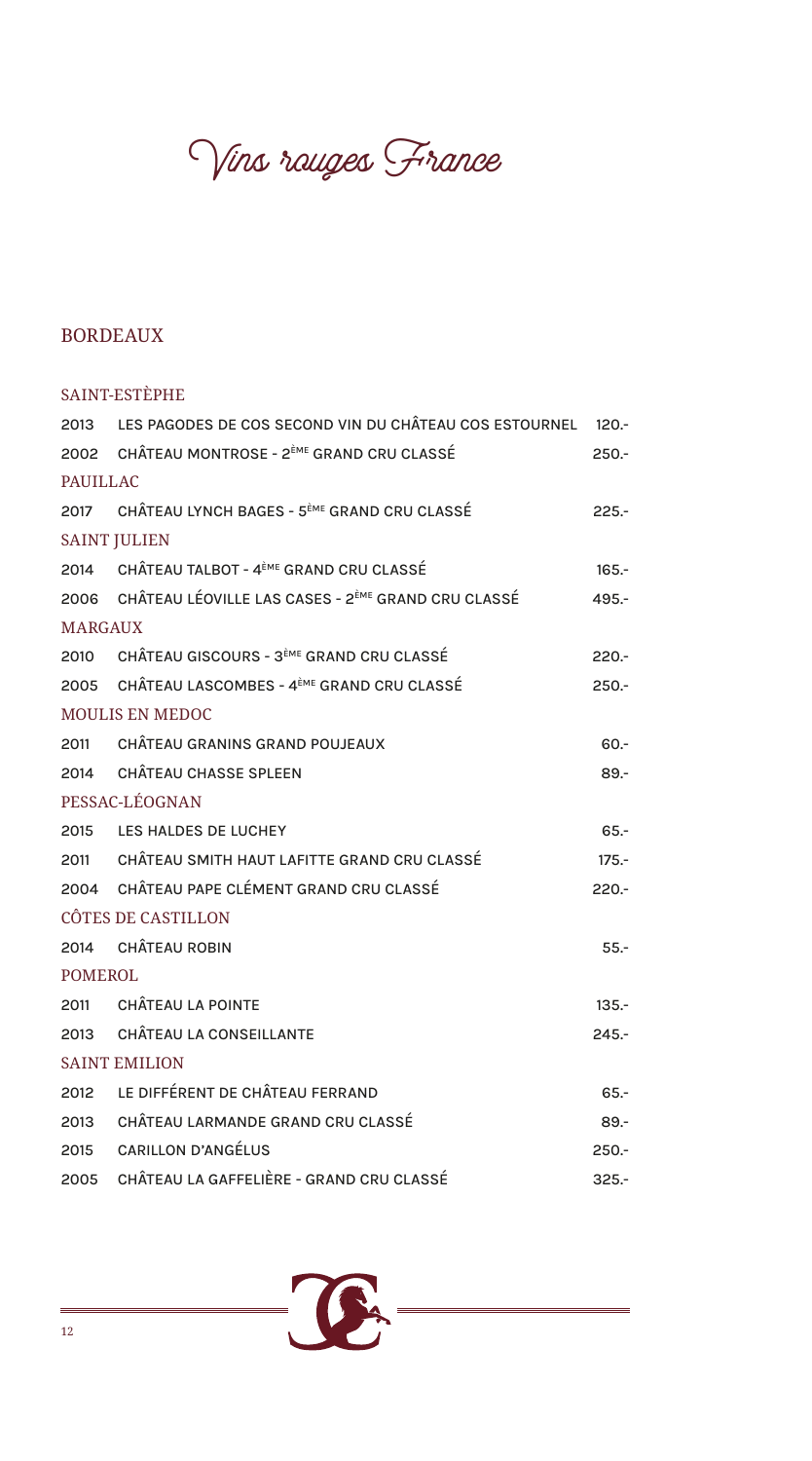Vins rauges France

# BORDEAUX

|                 | SAINT-ESTÈPHE                                                       |         |
|-----------------|---------------------------------------------------------------------|---------|
|                 | 2013 LES PAGODES DE COS SECOND VIN DU CHÂTEAU COS ESTOURNEL 120.-   |         |
|                 | 2002 CHÂTEAU MONTROSE - 2 <sup>èME</sup> GRAND CRU CLASSÉ           | $250 -$ |
| <b>PAUILLAC</b> |                                                                     |         |
|                 | 2017 CHÂTEAU LYNCH BAGES - 5 <sup>ème</sup> GRAND CRU CLASSÉ        | $225 -$ |
|                 | <b>SAINT JULIEN</b>                                                 |         |
|                 | 2014 CHÂTEAU TALBOT - 4ÈME GRAND CRU CLASSÉ                         | $165 -$ |
|                 | 2006 CHÂTEAU LÉOVILLE LAS CASES - 2 <sup>èME</sup> GRAND CRU CLASSÉ | $495 -$ |
| <b>MARGAUX</b>  |                                                                     |         |
|                 | 2010 CHÂTEAU GISCOURS - 3 <sup>èME</sup> GRAND CRU CLASSÉ           | $220 -$ |
|                 | 2005 CHÂTEAU LASCOMBES - 4 <sup>ème</sup> GRAND CRU CLASSÉ          | $250 -$ |
|                 | <b>MOULIS EN MEDOC</b>                                              |         |
|                 | 2011 CHÂTEAU GRANINS GRAND POUJEAUX                                 | $60 -$  |
|                 | 2014 CHÂTEAU CHASSE SPLEEN                                          | $89 -$  |
|                 | PESSAC-LÉOGNAN                                                      |         |
|                 | 2015 LES HALDES DE LUCHEY                                           | $65 -$  |
|                 | 2011 CHÂTEAU SMITH HAUT LAFITTE GRAND CRU CLASSÉ                    | $175 -$ |
|                 | 2004 CHÂTEAU PAPE CLÉMENT GRAND CRU CLASSÉ                          | $220 -$ |
|                 | CÔTES DE CASTILLON                                                  |         |
|                 | 2014 CHÂTEAU ROBIN                                                  | $55 -$  |
| <b>POMEROL</b>  |                                                                     |         |
|                 | 2011 CHÂTEAU LA POINTE                                              | $135 -$ |
| 2013            | <b>CHÂTEAU LA CONSEILLANTE</b>                                      | $245 -$ |
|                 | <b>SAINT EMILION</b>                                                |         |
|                 | 2012 LE DIFFÉRENT DE CHÂTEAU FERRAND                                | $65 -$  |
| 2013            | CHÂTEAU LARMANDE GRAND CRU CLASSÉ                                   | $89 -$  |
| 2015            | <b>CARILLON D'ANGÉLUS</b>                                           | $250 -$ |
| 2005            | CHÂTEAU LA GAFFELIÈRE - GRAND CRU CLASSÉ                            | $325 -$ |

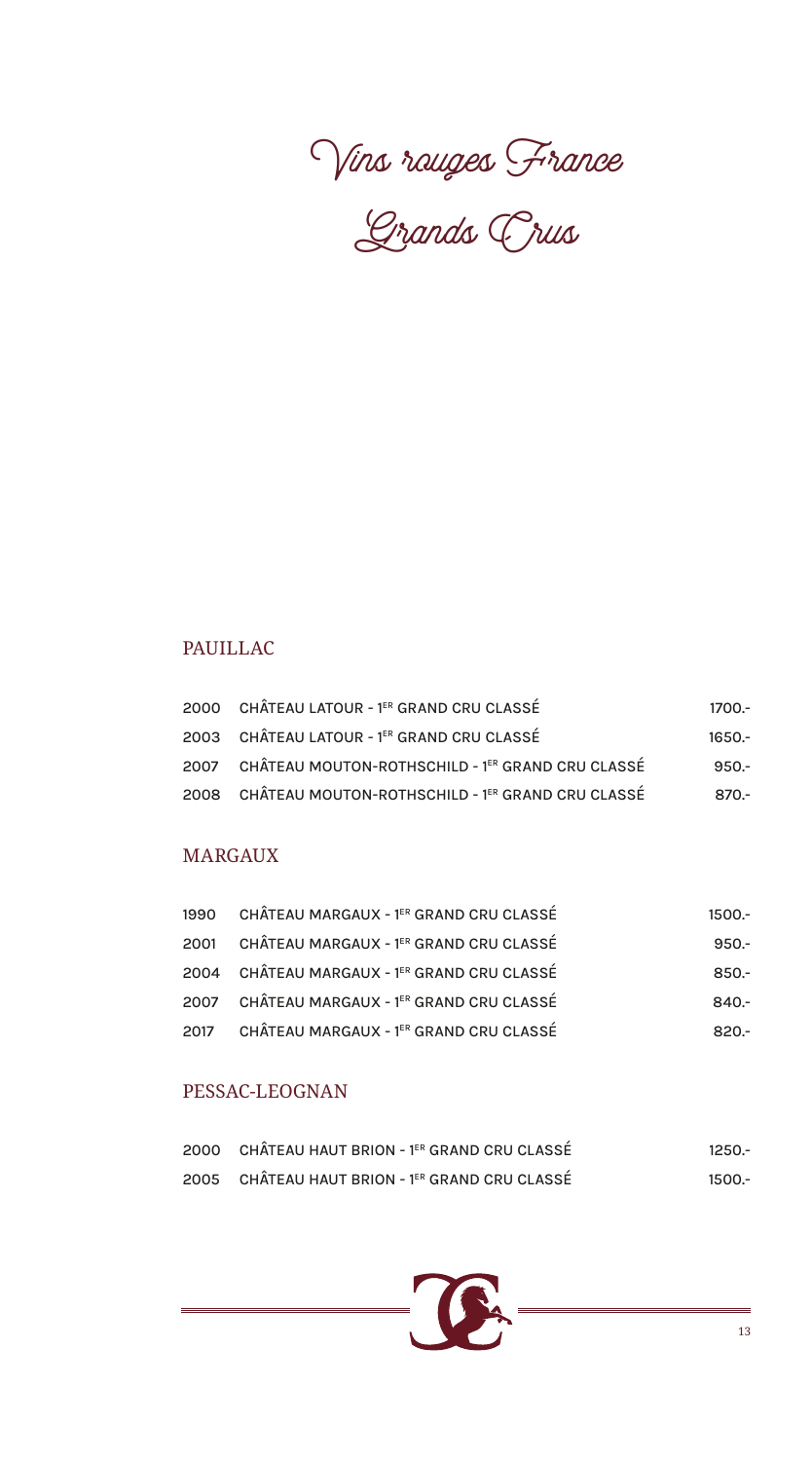

Grands Crus

## PAUILLAC

| 2000 CHÂTEAU LATOUR - 1ER GRAND CRU CLASSÉ            | 1700.-   |
|-------------------------------------------------------|----------|
| 2003 CHÂTEAU LATOUR - 1ER GRAND CRU CLASSÉ            | $1650 -$ |
| 2007 CHÂTEAU MOUTON-ROTHSCHILD - 1ER GRAND CRU CLASSÉ | $950 -$  |
| 2008 CHÂTEAU MOUTON-ROTHSCHILD - 1ER GRAND CRU CLASSÉ | -870.-   |

#### MARGAUX

| 1990 CHÂTEAU MARGAUX - 1ER GRAND CRU CLASSÉ | $1500 -$ |
|---------------------------------------------|----------|
| 2001 CHÂTEAU MARGAUX - 1ER GRAND CRU CLASSÉ | $950 -$  |
| 2004 CHÂTEAU MARGAUX - 1ER GRAND CRU CLASSÉ | $850 -$  |
| 2007 CHÂTEAU MARGAUX - 1ER GRAND CRU CLASSÉ | $840 -$  |
| 2017 CHÂTEAU MARGAUX - 1ER GRAND CRU CLASSÉ | $820 -$  |

#### PESSAC-LEOGNAN

| 2000 CHÂTEAU HAUT BRION - 1ER GRAND CRU CLASSÉ | $1250 -$ |
|------------------------------------------------|----------|
| 2005 CHÂTEAU HAUT BRION - 1ER GRAND CRU CLASSÉ | 1500.-   |

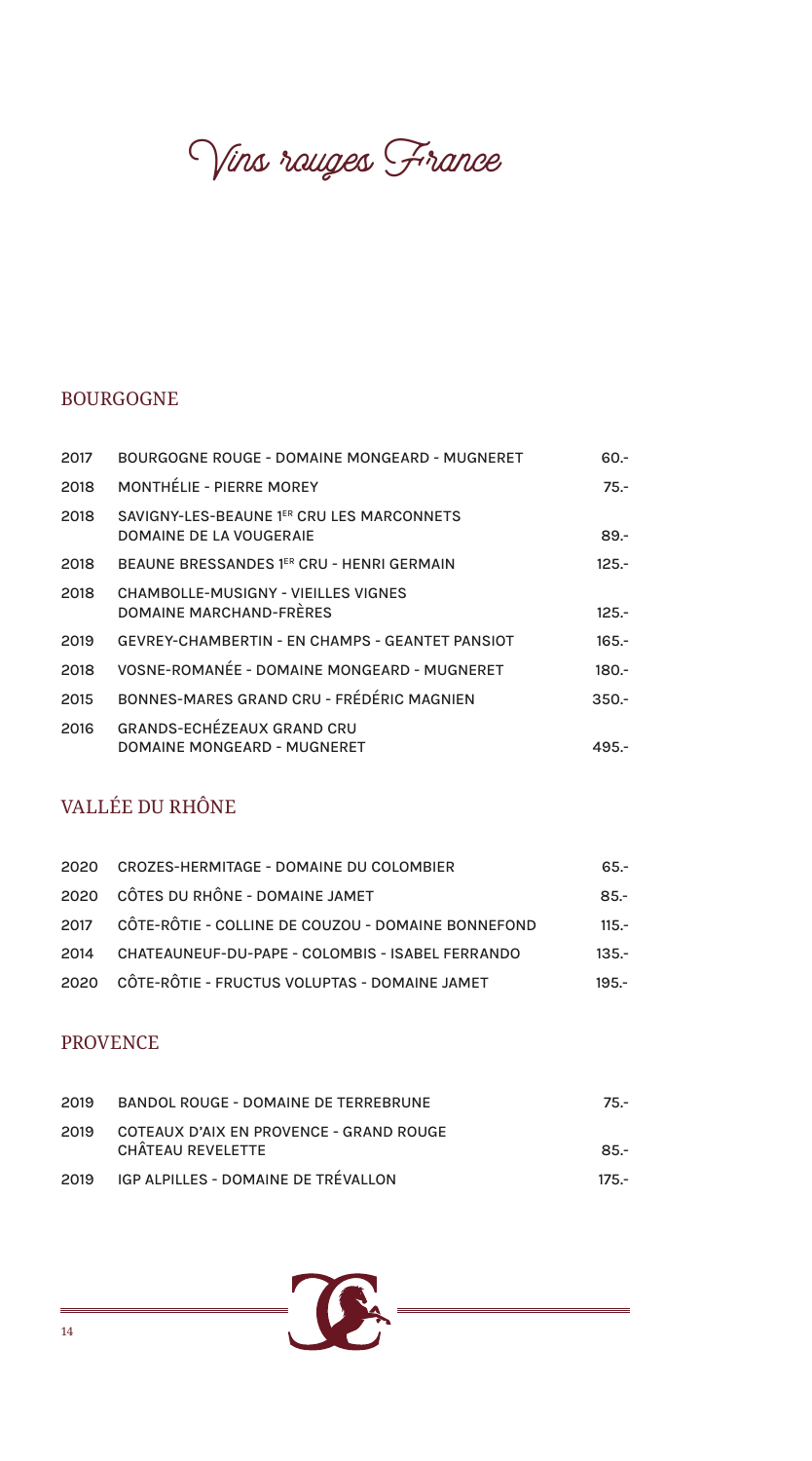Vins rauges France

# BOURGOGNE

| 2017 | <b>BOURGOGNE ROUGE - DOMAINE MONGEARD - MUGNERET</b>                  | -.60    |
|------|-----------------------------------------------------------------------|---------|
| 2018 | <b>MONTHÉLIE - PIERRE MOREY</b>                                       | $75 -$  |
| 2018 | SAVIGNY-LES-BEAUNE 1ER CRU LES MARCONNETS<br>DOMAINE DE LA VOUGERAIE  | $89 -$  |
| 2018 | BEAUNE BRESSANDES 1ER CRU - HENRI GERMAIN                             | $125 -$ |
| 2018 | <b>CHAMBOLLE-MUSIGNY - VIEILLES VIGNES</b><br>DOMAINE MARCHAND-FRÈRES | $125 -$ |
| 2019 | <b>GEVREY-CHAMBERTIN - EN CHAMPS - GEANTET PANSIOT</b>                | $165 -$ |
| 2018 | VOSNE-ROMANÉE - DOMAINE MONGEARD - MUGNERET                           | $180 -$ |
| 2015 | BONNES-MARES GRAND CRU - FRÉDÉRIC MAGNIEN                             | $350 -$ |
| 2016 | <b>GRANDS-ECHÉZEAUX GRAND CRU</b><br>DOMAINE MONGEARD - MUGNERET      | 495.-   |

# VALLÉE DU RHÔNE

|      | 2020 CROZES-HERMITAGE - DOMAINE DU COLOMBIER            | 65.-    |
|------|---------------------------------------------------------|---------|
|      | 2020 CÔTES DU RHÔNE - DOMAINE JAMET                     | $85 -$  |
|      | 2017 CÔTE-RÔTIE - COLLINE DE COUZOU - DOMAINE BONNEFOND | $115 -$ |
| 2014 | CHATEAUNEUF-DU-PAPE - COLOMBIS - ISABEL FERRANDO        | $135 -$ |
|      | 2020 CÔTE-RÔTIE - FRUCTUS VOLUPTAS - DOMAINE JAMET      | $195 -$ |

#### PROVENCE

| 2019 | BANDOL ROUGE - DOMAINE DE TERREBRUNE                         | $75 -$  |
|------|--------------------------------------------------------------|---------|
| 2019 | COTEAUX D'AIX EN PROVENCE - GRAND ROUGE<br>CHÂTEAU REVELETTE | $85 -$  |
| 2019 | IGP ALPILLES - DOMAINE DE TRÉVALLON                          | $175 -$ |

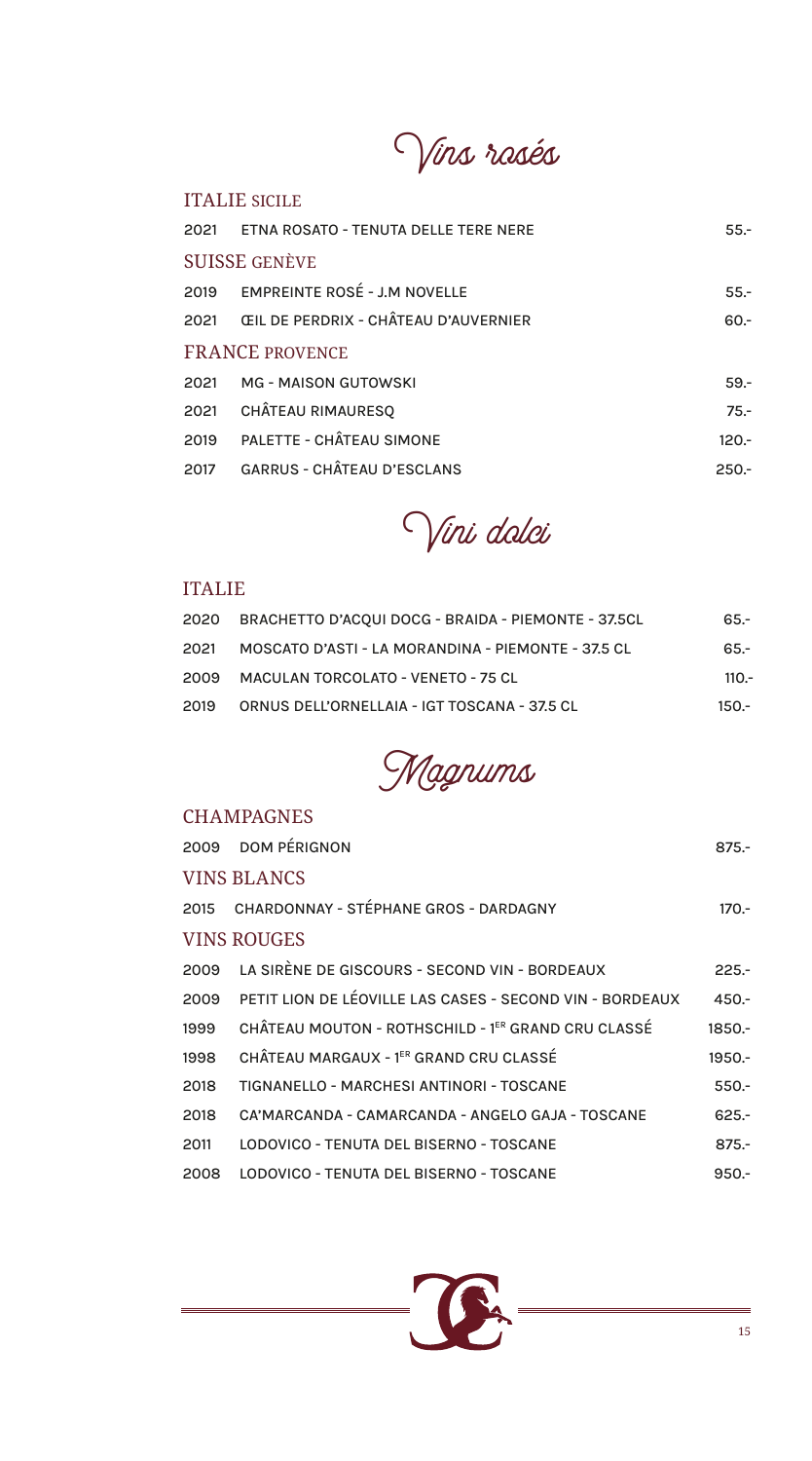Vins rosés

#### ITALIE SICILE

|                        | 2021 ETNA ROSATO - TENUTA DELLE TERE NERE      | $55 -$  |  |
|------------------------|------------------------------------------------|---------|--|
| <b>SUISSE GENÈVE</b>   |                                                |         |  |
|                        | 2019 EMPREINTE ROSÉ - J.M NOVELLE              | $55. -$ |  |
|                        | 2021      ŒIL DE PERDRIX - CHÂTEAU D'AUVERNIER | $60 -$  |  |
| <b>FRANCE PROVENCE</b> |                                                |         |  |
|                        | 2021 MG - MAISON GUTOWSKI                      | $59 -$  |  |
|                        | 2021 CHÂTEAU RIMAURESQ                         | $75. -$ |  |
|                        | 2019 PALETTE - CHÂTEAU SIMONE                  | $120 -$ |  |
|                        | 2017 GARRUS - CHÂTEAU D'ESCLANS                | $250 -$ |  |



#### ITALIE

|      | 2020 BRACHETTO D'ACQUI DOCG - BRAIDA - PIEMONTE - 37.5CL | 65.-    |
|------|----------------------------------------------------------|---------|
| 2021 | MOSCATO D'ASTI - LA MORANDINA - PIEMONTE - 37.5 CL       | $65 -$  |
|      | 2009 MACULAN TORCOLATO - VENETO - 75 CL                  | $110 -$ |
| 2019 | ORNUS DELL'ORNELLAIA - IGT TOSCANA - 37.5 CL             | 150.-   |



### **CHAMPAGNES**

|                    | 2009 DOM PÉRIGNON                                             | $875 -$  |  |  |
|--------------------|---------------------------------------------------------------|----------|--|--|
| <b>VINS BLANCS</b> |                                                               |          |  |  |
|                    | 2015 CHARDONNAY - STÉPHANE GROS - DARDAGNY                    | $170 -$  |  |  |
| <b>VINS ROUGES</b> |                                                               |          |  |  |
|                    | 2009 LA SIRÈNE DE GISCOURS - SECOND VIN - BORDEAUX            | $225 -$  |  |  |
|                    | 2009 PETIT LION DE LÉOVILLE LAS CASES - SECOND VIN - BORDEAUX | $450 -$  |  |  |
| 1999               | CHÂTEAU MOUTON - ROTHSCHILD - 1ER GRAND CRU CLASSÉ            | $1850 -$ |  |  |
| 1998               | CHÂTEAU MARGAUX - 1ER GRAND CRU CLASSÉ                        | 1950 .-  |  |  |
| 2018               | TIGNANELLO - MARCHESI ANTINORI - TOSCANE                      | $550 -$  |  |  |
| 2018               | CA'MARCANDA - CAMARCANDA - ANGELO GAJA - TOSCANE              | $625 -$  |  |  |
| 2011               | LODOVICO - TENUTA DEL BISERNO - TOSCANE                       | $875 -$  |  |  |
| 2008               | LODOVICO - TENUTA DEL BISERNO - TOSCANE                       | $950 -$  |  |  |